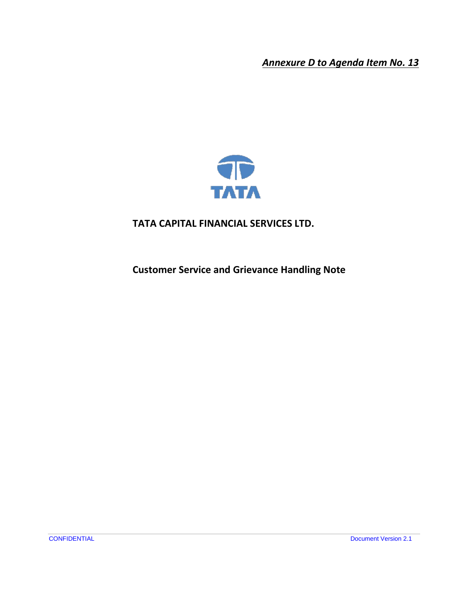*Annexure D to Agenda Item No. 13*



### **TATA CAPITAL FINANCIAL SERVICES LTD.**

**Customer Service and Grievance Handling Note**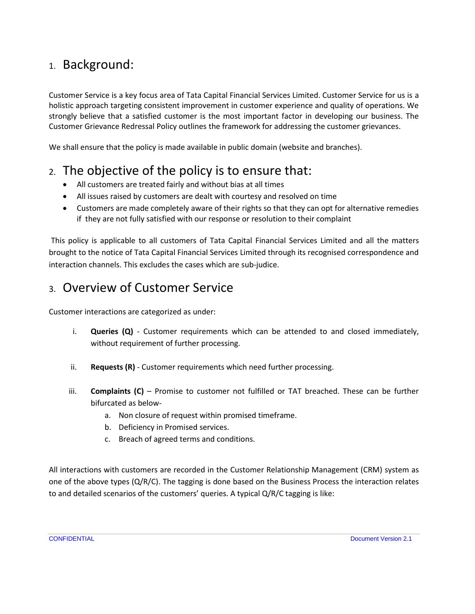## 1. Background:

Customer Service is a key focus area of Tata Capital Financial Services Limited. Customer Service for us is a holistic approach targeting consistent improvement in customer experience and quality of operations. We strongly believe that a satisfied customer is the most important factor in developing our business. The Customer Grievance Redressal Policy outlines the framework for addressing the customer grievances.

We shall ensure that the policy is made available in public domain (website and branches).

## 2. The objective of the policy is to ensure that:

- All customers are treated fairly and without bias at all times
- All issues raised by customers are dealt with courtesy and resolved on time
- Customers are made completely aware of their rights so that they can opt for alternative remedies if they are not fully satisfied with our response or resolution to their complaint

This policy is applicable to all customers of Tata Capital Financial Services Limited and all the matters brought to the notice of Tata Capital Financial Services Limited through its recognised correspondence and interaction channels. This excludes the cases which are sub-judice.

## 3. Overview of Customer Service

Customer interactions are categorized as under:

- i. **Queries (Q)** Customer requirements which can be attended to and closed immediately, without requirement of further processing.
- ii. **Requests (R)** Customer requirements which need further processing.
- iii. **Complaints (C)** Promise to customer not fulfilled or TAT breached. These can be further bifurcated as below
	- a. Non closure of request within promised timeframe.
	- b. Deficiency in Promised services.
	- c. Breach of agreed terms and conditions.

All interactions with customers are recorded in the Customer Relationship Management (CRM) system as one of the above types  $(Q/R/C)$ . The tagging is done based on the Business Process the interaction relates to and detailed scenarios of the customers' queries. A typical Q/R/C tagging is like: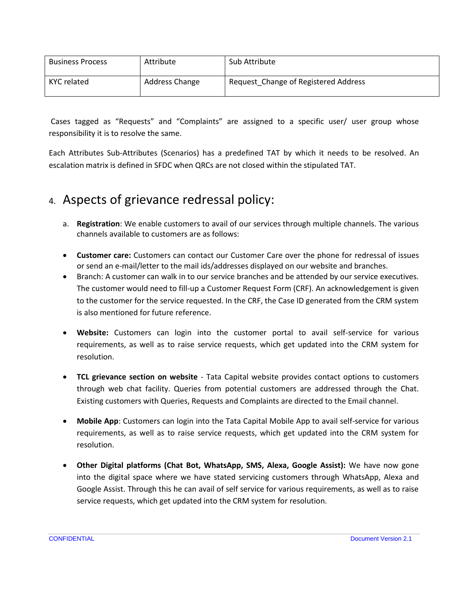| <b>Business Process</b> | Attribute      | Sub Attribute                        |
|-------------------------|----------------|--------------------------------------|
| KYC related             | Address Change | Request Change of Registered Address |

Cases tagged as "Requests" and "Complaints" are assigned to a specific user/ user group whose responsibility it is to resolve the same.

Each Attributes Sub-Attributes (Scenarios) has a predefined TAT by which it needs to be resolved. An escalation matrix is defined in SFDC when QRCs are not closed within the stipulated TAT.

## 4. Aspects of grievance redressal policy:

- a. **Registration**: We enable customers to avail of our services through multiple channels. The various channels available to customers are as follows:
- **Customer care:** Customers can contact our Customer Care over the phone for redressal of issues or send an e-mail/letter to the mail ids/addresses displayed on our website and branches.
- Branch: A customer can walk in to our service branches and be attended by our service executives. The customer would need to fill-up a Customer Request Form (CRF). An acknowledgement is given to the customer for the service requested. In the CRF, the Case ID generated from the CRM system is also mentioned for future reference.
- **Website:** Customers can login into the customer portal to avail self-service for various requirements, as well as to raise service requests, which get updated into the CRM system for resolution.
- **TCL grievance section on website** Tata Capital website provides contact options to customers through web chat facility. Queries from potential customers are addressed through the Chat. Existing customers with Queries, Requests and Complaints are directed to the Email channel.
- **Mobile App**: Customers can login into the Tata Capital Mobile App to avail self-service for various requirements, as well as to raise service requests, which get updated into the CRM system for resolution.
- **Other Digital platforms (Chat Bot, WhatsApp, SMS, Alexa, Google Assist):** We have now gone into the digital space where we have stated servicing customers through WhatsApp, Alexa and Google Assist. Through this he can avail of self service for various requirements, as well as to raise service requests, which get updated into the CRM system for resolution.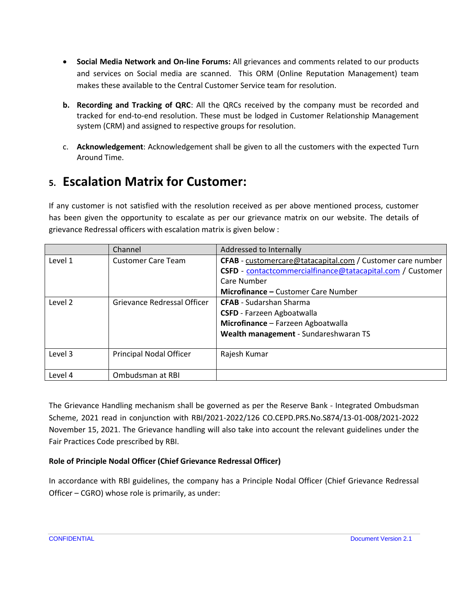- **Social Media Network and On-line Forums:** All grievances and comments related to our products and services on Social media are scanned. This ORM (Online Reputation Management) team makes these available to the Central Customer Service team for resolution.
- **b. Recording and Tracking of QRC**: All the QRCs received by the company must be recorded and tracked for end-to-end resolution. These must be lodged in Customer Relationship Management system (CRM) and assigned to respective groups for resolution.
- c. **Acknowledgement**: Acknowledgement shall be given to all the customers with the expected Turn Around Time.

## **5. Escalation Matrix for Customer:**

If any customer is not satisfied with the resolution received as per above mentioned process, customer has been given the opportunity to escalate as per our grievance matrix on our website. The details of grievance Redressal officers with escalation matrix is given below :

|         | Channel                                                                                 | Addressed to Internally                                    |  |
|---------|-----------------------------------------------------------------------------------------|------------------------------------------------------------|--|
| Level 1 | <b>Customer Care Team</b><br>CFAB - customercare@tatacapital.com / Customer care number |                                                            |  |
|         |                                                                                         | CSFD - contactcommercialfinance@tatacapital.com / Customer |  |
|         |                                                                                         | Care Number                                                |  |
|         |                                                                                         | <b>Microfinance - Customer Care Number</b>                 |  |
| Level 2 | Grievance Redressal Officer                                                             | <b>CFAB</b> - Sudarshan Sharma                             |  |
|         |                                                                                         | <b>CSFD</b> - Farzeen Agboatwalla                          |  |
|         |                                                                                         | Microfinance - Farzeen Agboatwalla                         |  |
|         |                                                                                         | Wealth management - Sundareshwaran TS                      |  |
|         |                                                                                         |                                                            |  |
| Level 3 | <b>Principal Nodal Officer</b>                                                          | Rajesh Kumar                                               |  |
|         |                                                                                         |                                                            |  |
| Level 4 | Ombudsman at RBI                                                                        |                                                            |  |

The Grievance Handling mechanism shall be governed as per the Reserve Bank - Integrated Ombudsman Scheme, 2021 read in conjunction with RBI/2021-2022/126 CO.CEPD.PRS.No.S874/13-01-008/2021-2022 November 15, 2021. The Grievance handling will also take into account the relevant guidelines under the Fair Practices Code prescribed by RBI.

#### **Role of Principle Nodal Officer (Chief Grievance Redressal Officer)**

In accordance with RBI guidelines, the company has a Principle Nodal Officer (Chief Grievance Redressal Officer – CGRO) whose role is primarily, as under: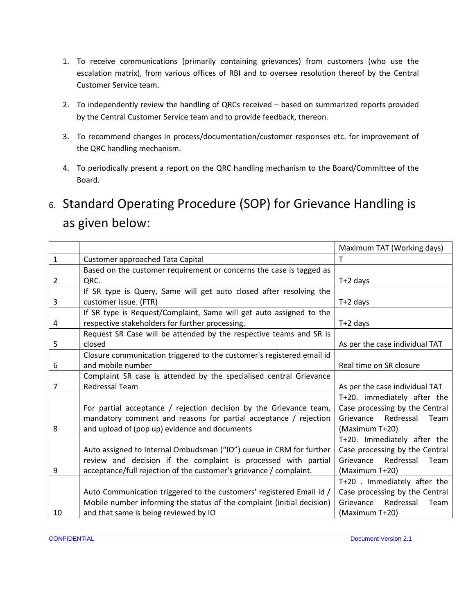- 1. To receive communications (primarily containing grievances) from customers (who use the escalation matrix), from various offices of RBI and to oversee resolution thereof by the Central Customer Service team.
- 2. To independently review the handling of QRCs received based on summarized reports provided by the Central Customer Service team and to provide feedback, thereon.
- 3. To recommend changes in process/documentation/customer responses etc. for improvement of the QRC handling mechanism.
- 4. To periodically present a report on the QRC handling mechanism to the Board/Committee of the Board.

# 6. Standard Operating Procedure (SOP) for Grievance Handling is as given below:

|                |                                                                        | Maximum TAT (Working days)     |
|----------------|------------------------------------------------------------------------|--------------------------------|
| $\mathbf{1}$   | Customer approached Tata Capital                                       | Τ                              |
|                | Based on the customer requirement or concerns the case is tagged as    |                                |
| $\overline{2}$ | QRC.                                                                   | $T+2$ days                     |
|                | If SR type is Query, Same will get auto closed after resolving the     |                                |
| 3              | customer issue. (FTR)                                                  | $T+2$ days                     |
|                | If SR type is Request/Complaint, Same will get auto assigned to the    |                                |
| 4              | respective stakeholders for further processing.                        | $T+2$ days                     |
|                | Request SR Case will be attended by the respective teams and SR is     |                                |
| 5              | closed                                                                 | As per the case individual TAT |
|                | Closure communication triggered to the customer's registered email id  |                                |
| 6              | and mobile number                                                      | Real time on SR closure        |
|                | Complaint SR case is attended by the specialised central Grievance     |                                |
| 7              | Redressal Team                                                         | As per the case individual TAT |
|                |                                                                        | T+20. immediately after the    |
|                | For partial acceptance / rejection decision by the Grievance team,     | Case processing by the Central |
|                | mandatory comment and reasons for partial acceptance / rejection       | Grievance Redressal<br>Team    |
| 8              | and upload of (pop up) evidence and documents                          | (Maximum T+20)                 |
|                |                                                                        | T+20. Immediately after the    |
|                | Auto assigned to Internal Ombudsman ("IO") queue in CRM for further    | Case processing by the Central |
|                | review and decision if the complaint is processed with partial         | Grievance Redressal<br>Team    |
| 9              | acceptance/full rejection of the customer's grievance / complaint.     | (Maximum T+20)                 |
|                |                                                                        | T+20 . Immediately after the   |
|                | Auto Communication triggered to the customers' registered Email id /   | Case processing by the Central |
|                | Mobile number informing the status of the complaint (initial decision) | Grievance<br>Redressal<br>Team |
| 10             | and that same is being reviewed by IO                                  | (Maximum T+20)                 |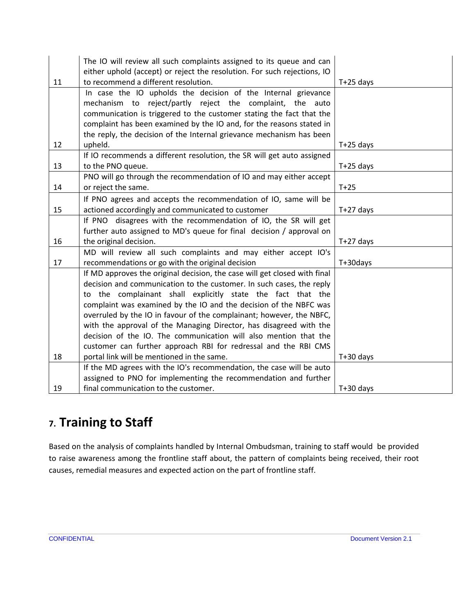|    | The IO will review all such complaints assigned to its queue and can      |             |
|----|---------------------------------------------------------------------------|-------------|
|    | either uphold (accept) or reject the resolution. For such rejections, IO  |             |
| 11 | to recommend a different resolution.                                      | $T+25$ days |
|    | In case the IO upholds the decision of the Internal grievance             |             |
|    | mechanism to reject/partly reject the complaint,<br>the<br>auto           |             |
|    | communication is triggered to the customer stating the fact that the      |             |
|    | complaint has been examined by the IO and, for the reasons stated in      |             |
|    | the reply, the decision of the Internal grievance mechanism has been      |             |
| 12 | upheld.                                                                   | $T+25$ days |
|    | If IO recommends a different resolution, the SR will get auto assigned    |             |
| 13 | to the PNO queue.                                                         | $T+25$ days |
|    | PNO will go through the recommendation of IO and may either accept        |             |
| 14 | or reject the same.                                                       | $T+25$      |
|    | If PNO agrees and accepts the recommendation of IO, same will be          |             |
| 15 | actioned accordingly and communicated to customer                         | $T+27$ days |
|    | If PNO disagrees with the recommendation of IO, the SR will get           |             |
|    | further auto assigned to MD's queue for final decision / approval on      |             |
| 16 | the original decision.                                                    | $T+27$ days |
|    | MD will review all such complaints and may either accept IO's             |             |
| 17 | recommendations or go with the original decision                          | T+30days    |
|    | If MD approves the original decision, the case will get closed with final |             |
|    | decision and communication to the customer. In such cases, the reply      |             |
|    | to the complainant shall explicitly state the fact that the               |             |
|    | complaint was examined by the IO and the decision of the NBFC was         |             |
|    | overruled by the IO in favour of the complainant; however, the NBFC,      |             |
|    | with the approval of the Managing Director, has disagreed with the        |             |
|    | decision of the IO. The communication will also mention that the          |             |
|    | customer can further approach RBI for redressal and the RBI CMS           |             |
| 18 | portal link will be mentioned in the same.                                | $T+30$ days |
|    | If the MD agrees with the IO's recommendation, the case will be auto      |             |
|    | assigned to PNO for implementing the recommendation and further           |             |
| 19 | final communication to the customer.                                      | $T+30$ days |

## **7. Training to Staff**

Based on the analysis of complaints handled by Internal Ombudsman, training to staff would be provided to raise awareness among the frontline staff about, the pattern of complaints being received, their root causes, remedial measures and expected action on the part of frontline staff.